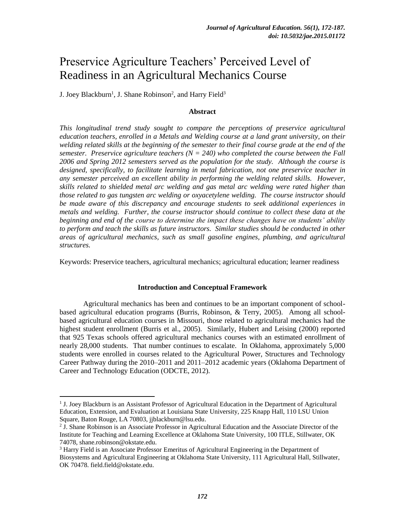# Preservice Agriculture Teachers' Perceived Level of Readiness in an Agricultural Mechanics Course

J. Joey Blackburn<sup>1</sup>, J. Shane Robinson<sup>2</sup>, and Harry Field<sup>3</sup>

#### **Abstract**

*This longitudinal trend study sought to compare the perceptions of preservice agricultural education teachers, enrolled in a Metals and Welding course at a land grant university, on their welding related skills at the beginning of the semester to their final course grade at the end of the semester.* Preservice agriculture teachers  $(N = 240)$  who completed the course between the Fall *2006 and Spring 2012 semesters served as the population for the study. Although the course is designed, specifically, to facilitate learning in metal fabrication, not one preservice teacher in any semester perceived an excellent ability in performing the welding related skills. However, skills related to shielded metal arc welding and gas metal arc welding were rated higher than those related to gas tungsten arc welding or oxyacetylene welding. The course instructor should be made aware of this discrepancy and encourage students to seek additional experiences in metals and welding. Further, the course instructor should continue to collect these data at the beginning and end of the course to determine the impact these changes have on students' ability to perform and teach the skills as future instructors. Similar studies should be conducted in other areas of agricultural mechanics, such as small gasoline engines, plumbing, and agricultural structures.*

Keywords: Preservice teachers, agricultural mechanics; agricultural education; learner readiness

#### **Introduction and Conceptual Framework**

Agricultural mechanics has been and continues to be an important component of schoolbased agricultural education programs (Burris, Robinson, & Terry, 2005). Among all schoolbased agricultural education courses in Missouri, those related to agricultural mechanics had the highest student enrollment (Burris et al., 2005). Similarly, Hubert and Leising (2000) reported that 925 Texas schools offered agricultural mechanics courses with an estimated enrollment of nearly 28,000 students. That number continues to escalate. In Oklahoma, approximately 5,000 students were enrolled in courses related to the Agricultural Power, Structures and Technology Career Pathway during the 2010–2011 and 2011–2012 academic years (Oklahoma Department of Career and Technology Education (ODCTE, 2012).

 $\overline{a}$ 

<sup>&</sup>lt;sup>1</sup> J. Joey Blackburn is an Assistant Professor of Agricultural Education in the Department of Agricultural Education, Extension, and Evaluation at Louisiana State University, 225 Knapp Hall, 110 LSU Union Square, Baton Rouge, LA 70803, jjblackburn@lsu.edu.

<sup>&</sup>lt;sup>2</sup> J. Shane Robinson is an Associate Professor in Agricultural Education and the Associate Director of the Institute for Teaching and Learning Excellence at Oklahoma State University, 100 ITLE, Stillwater, OK 74078, shane.robinson@okstate.edu.

<sup>&</sup>lt;sup>3</sup> Harry Field is an Associate Professor Emeritus of Agricultural Engineering in the Department of Biosystems and Agricultural Engineering at Oklahoma State University, 111 Agricultural Hall, Stillwater, OK 70478. field.field@okstate.edu.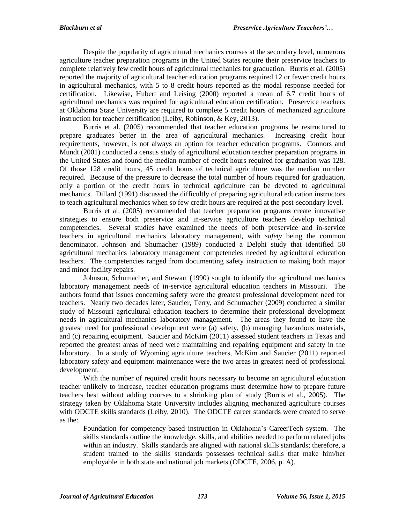Despite the popularity of agricultural mechanics courses at the secondary level, numerous agriculture teacher preparation programs in the United States require their preservice teachers to complete relatively few credit hours of agricultural mechanics for graduation. Burris et al. (2005) reported the majority of agricultural teacher education programs required 12 or fewer credit hours in agricultural mechanics, with 5 to 8 credit hours reported as the modal response needed for certification. Likewise, Hubert and Leising (2000) reported a mean of 6.7 credit hours of agricultural mechanics was required for agricultural education certification. Preservice teachers at Oklahoma State University are required to complete 5 credit hours of mechanized agriculture instruction for teacher certification (Leiby, Robinson, & Key, 2013).

Burris et al. (2005) recommended that teacher education programs be restructured to prepare graduates better in the area of agricultural mechanics. Increasing credit hour requirements, however, is not always an option for teacher education programs. Connors and Mundt (2001) conducted a census study of agricultural education teacher preparation programs in the United States and found the median number of credit hours required for graduation was 128. Of those 128 credit hours, 45 credit hours of technical agriculture was the median number required. Because of the pressure to decrease the total number of hours required for graduation, only a portion of the credit hours in technical agriculture can be devoted to agricultural mechanics. Dillard (1991) discussed the difficultly of preparing agricultural education instructors to teach agricultural mechanics when so few credit hours are required at the post-secondary level.

Burris et al. (2005) recommended that teacher preparation programs create innovative strategies to ensure both preservice and in-service agriculture teachers develop technical competencies. Several studies have examined the needs of both preservice and in-service teachers in agricultural mechanics laboratory management, with *safety* being the common denominator. Johnson and Shumacher (1989) conducted a Delphi study that identified 50 agricultural mechanics laboratory management competencies needed by agricultural education teachers. The competencies ranged from documenting safety instruction to making both major and minor facility repairs.

Johnson, Schumacher, and Stewart (1990) sought to identify the agricultural mechanics laboratory management needs of in-service agricultural education teachers in Missouri. The authors found that issues concerning safety were the greatest professional development need for teachers. Nearly two decades later, Saucier, Terry, and Schumacher (2009) conducted a similar study of Missouri agricultural education teachers to determine their professional development needs in agricultural mechanics laboratory management. The areas they found to have the greatest need for professional development were (a) safety, (b) managing hazardous materials, and (c) repairing equipment. Saucier and McKim (2011) assessed student teachers in Texas and reported the greatest areas of need were maintaining and repairing equipment and safety in the laboratory. In a study of Wyoming agriculture teachers, McKim and Saucier (2011) reported laboratory safety and equipment maintenance were the two areas in greatest need of professional development.

With the number of required credit hours necessary to become an agricultural education teacher unlikely to increase, teacher education programs must determine how to prepare future teachers best without adding courses to a shrinking plan of study (Burris et al., 2005). The strategy taken by Oklahoma State University includes aligning mechanized agriculture courses with ODCTE skills standards (Leiby, 2010). The ODCTE career standards were created to serve as the:

Foundation for competency-based instruction in Oklahoma's CareerTech system. The skills standards outline the knowledge, skills, and abilities needed to perform related jobs within an industry. Skills standards are aligned with national skills standards; therefore, a student trained to the skills standards possesses technical skills that make him/her employable in both state and national job markets (ODCTE, 2006, p. A).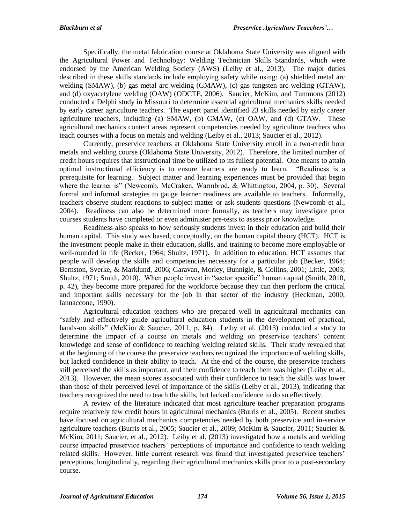Specifically, the metal fabrication course at Oklahoma State University was aligned with the Agricultural Power and Technology: Welding Technician Skills Standards, which were endorsed by the American Welding Society (AWS) (Leiby et al., 2013). The major duties described in these skills standards include employing safety while using: (a) shielded metal arc welding (SMAW), (b) gas metal arc welding (GMAW), (c) gas tungsten arc welding (GTAW), and (d) oxyacetylene welding (OAW) (ODCTE, 2006). Saucier, McKim, and Tummons (2012) conducted a Delphi study in Missouri to determine essential agricultural mechanics skills needed by early career agriculture teachers. The expert panel identified 23 skills needed by early career agriculture teachers, including (a) SMAW, (b) GMAW, (c) OAW, and (d) GTAW. These agricultural mechanics content areas represent competencies needed by agriculture teachers who teach courses with a focus on metals and welding (Leiby et al., 2013; Saucier et al., 2012).

Currently, preservice teachers at Oklahoma State University enroll in a two-credit hour metals and welding course (Oklahoma State University, 2012). Therefore, the limited number of credit hours requires that instructional time be utilized to its fullest potential. One means to attain optimal instructional efficiency is to ensure learners are ready to learn. "Readiness is a prerequisite for learning. Subject matter and learning experiences must be provided that begin where the learner is" (Newcomb, McCraken, Warmbrod, & Whittington, 2004, p. 30). Several formal and informal strategies to gauge learner readiness are available to teachers. Informally, teachers observe student reactions to subject matter or ask students questions (Newcomb et al., 2004). Readiness can also be determined more formally, as teachers may investigate prior courses students have completed or even administer pre-tests to assess prior knowledge.

Readiness also speaks to how seriously students invest in their education and build their human capital. This study was based, conceptually, on the human capital theory (HCT). HCT is the investment people make in their education, skills, and training to become more employable or well-rounded in life (Becker, 1964; Shultz, 1971). In addition to education, HCT assumes that people will develop the skills and competencies necessary for a particular job (Becker, 1964; Bernston, Sverke, & Marklund, 2006; Garavan, Morley, Bunnigle, & Collins, 2001; Little, 2003; Shultz, 1971; Smith, 2010). When people invest in "sector specific" human capital (Smith, 2010, p. 42), they become more prepared for the workforce because they can then perform the critical and important skills necessary for the job in that sector of the industry (Heckman, 2000; Iannaccone, 1990).

Agricultural education teachers who are prepared well in agricultural mechanics can "safely and effectively guide agricultural education students in the development of practical, hands-on skills" (McKim & Saucier, 2011, p. 84). Leiby et al. (2013) conducted a study to determine the impact of a course on metals and welding on preservice teachers' content knowledge and sense of confidence to teaching welding related skills. Their study revealed that at the beginning of the course the preservice teachers recognized the importance of welding skills, but lacked confidence in their ability to teach. At the end of the course, the preservice teachers still perceived the skills as important, and their confidence to teach them was higher (Leiby et al., 2013). However, the mean scores associated with their confidence to teach the skills was lower than those of their perceived level of importance of the skills (Leiby et al., 2013), indicating that teachers recognized the need to teach the skills, but lacked confidence to do so effectively.

A review of the literature indicated that most agriculture teacher preparation programs require relatively few credit hours in agricultural mechanics (Burris et al., 2005). Recent studies have focused on agricultural mechanics competencies needed by both preservice and in-service agriculture teachers (Burris et al., 2005; Saucier et al., 2009; McKim & Saucier, 2011; Saucier & McKim, 2011; Saucier, et al., 2012). Leiby et al. (2013) investigated how a metals and welding course impacted preservice teachers' perceptions of importance and confidence to teach welding related skills. However, little current research was found that investigated preservice teachers' perceptions, longitudinally, regarding their agricultural mechanics skills prior to a post-secondary course.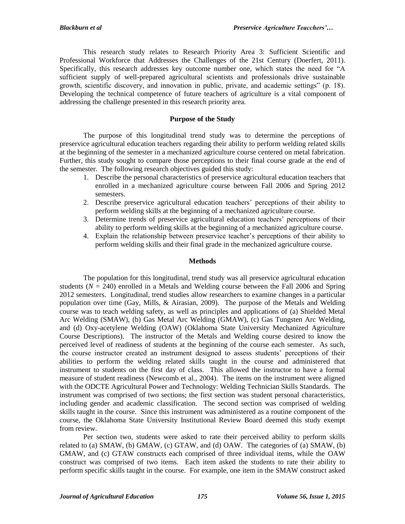This research study relates to Research Priority Area 3: Sufficient Scientific and Professional Workforce that Addresses the Challenges of the 21st Century (Doerfert, 2011). Specifically, this research addresses key outcome number one, which states the need for "A sufficient supply of well-prepared agricultural scientists and professionals drive sustainable growth, scientific discovery, and innovation in public, private, and academic settings" (p. 18). Developing the technical competence of future teachers of agriculture is a vital component of addressing the challenge presented in this research priority area.

# **Purpose of the Study**

The purpose of this longitudinal trend study was to determine the perceptions of preservice agricultural education teachers regarding their ability to perform welding related skills at the beginning of the semester in a mechanized agriculture course centered on metal fabrication. Further, this study sought to compare those perceptions to their final course grade at the end of the semester. The following research objectives guided this study:

- 1. Describe the personal characteristics of preservice agricultural education teachers that enrolled in a mechanized agriculture course between Fall 2006 and Spring 2012 semesters.
- 2. Describe preservice agricultural education teachers' perceptions of their ability to perform welding skills at the beginning of a mechanized agriculture course.
- 3. Determine trends of preservice agricultural education teachers' perceptions of their ability to perform welding skills at the beginning of a mechanized agriculture course.
- 4. Explain the relationship between preservice teacher's perceptions of their ability to perform welding skills and their final grade in the mechanized agriculture course.

#### **Methods**

The population for this longitudinal, trend study was all preservice agricultural education students  $(N = 240)$  enrolled in a Metals and Welding course between the Fall 2006 and Spring 2012 semesters. Longitudinal, trend studies allow researchers to examine changes in a particular population over time (Gay, Mills, & Airasian, 2009). The purpose of the Metals and Welding course was to teach welding safety, as well as principles and applications of (a) Shielded Metal Arc Welding (SMAW), (b) Gas Metal Arc Welding (GMAW), (c) Gas Tungsten Arc Welding, and (d) Oxy-acetylene Welding (OAW) (Oklahoma State University Mechanized Agriculture Course Descriptions). The instructor of the Metals and Welding course desired to know the perceived level of readiness of students at the beginning of the course each semester. As such, the course instructor created an instrument designed to assess students' perceptions of their abilities to perform the welding related skills taught in the course and administered that instrument to students on the first day of class. This allowed the instructor to have a formal measure of student readiness (Newcomb et al., 2004). The items on the instrument were aligned with the ODCTE Agricultural Power and Technology: Welding Technician Skills Standards. The instrument was comprised of two sections; the first section was student personal characteristics, including gender and academic classification. The second section was comprised of welding skills taught in the course. Since this instrument was administered as a routine component of the course, the Oklahoma State University Institutional Review Board deemed this study exempt from review.

Per section two, students were asked to rate their perceived ability to perform skills related to (a) SMAW, (b) GMAW, (c) GTAW, and (d) OAW. The categories of (a) SMAW, (b) GMAW, and (c) GTAW constructs each comprised of three individual items, while the OAW construct was comprised of two items. Each item asked the students to rate their ability to perform specific skills taught in the course. For example, one item in the SMAW construct asked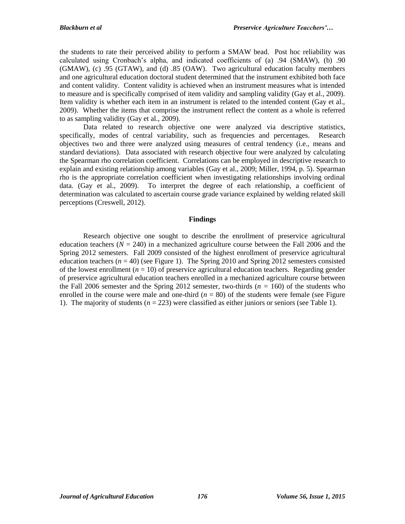the students to rate their perceived ability to perform a SMAW bead. Post hoc reliability was calculated using Cronbach's alpha, and indicated coefficients of (a) .94 (SMAW), (b) .90 (GMAW), (c) .95 (GTAW), and (d) .85 (OAW). Two agricultural education faculty members and one agricultural education doctoral student determined that the instrument exhibited both face and content validity. Content validity is achieved when an instrument measures what is intended to measure and is specifically comprised of item validity and sampling validity (Gay et al., 2009). Item validity is whether each item in an instrument is related to the intended content (Gay et al., 2009). Whether the items that comprise the instrument reflect the content as a whole is referred to as sampling validity (Gay et al., 2009).

Data related to research objective one were analyzed via descriptive statistics, specifically, modes of central variability, such as frequencies and percentages. Research objectives two and three were analyzed using measures of central tendency (i.e., means and standard deviations). Data associated with research objective four were analyzed by calculating the Spearman rho correlation coefficient. Correlations can be employed in descriptive research to explain and existing relationship among variables (Gay et al., 2009; Miller, 1994, p. 5). Spearman rho is the appropriate correlation coefficient when investigating relationships involving ordinal data. (Gay et al., 2009). To interpret the degree of each relationship, a coefficient of determination was calculated to ascertain course grade variance explained by welding related skill perceptions (Creswell, 2012).

# **Findings**

Research objective one sought to describe the enrollment of preservice agricultural education teachers  $(N = 240)$  in a mechanized agriculture course between the Fall 2006 and the Spring 2012 semesters. Fall 2009 consisted of the highest enrollment of preservice agricultural education teachers  $(n = 40)$  (see Figure 1). The Spring 2010 and Spring 2012 semesters consisted of the lowest enrollment  $(n = 10)$  of preservice agricultural education teachers. Regarding gender of preservice agricultural education teachers enrolled in a mechanized agriculture course between the Fall 2006 semester and the Spring 2012 semester, two-thirds  $(n = 160)$  of the students who enrolled in the course were male and one-third  $(n = 80)$  of the students were female (see Figure 1). The majority of students  $(n = 223)$  were classified as either juniors or seniors (see Table 1).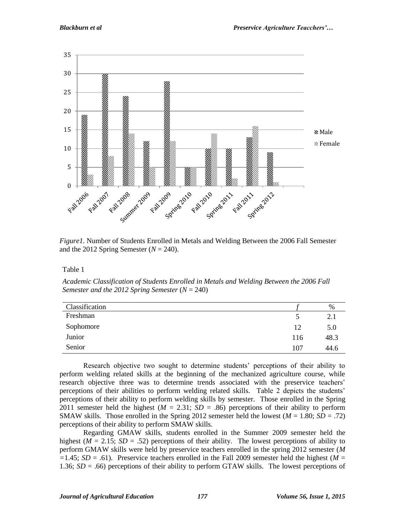

*Figure1.* Number of Students Enrolled in Metals and Welding Between the 2006 Fall Semester and the 2012 Spring Semester  $(N = 240)$ .

Table 1

*Academic Classification of Students Enrolled in Metals and Welding Between the 2006 Fall Semester and the 2012 Spring Semester* (*N* = 240)

| Classification |     | %    |
|----------------|-----|------|
| Freshman       |     | 2.1  |
| Sophomore      | 12  | 5.0  |
| Junior         | 116 | 48.3 |
| Senior         | 107 | 44.6 |

Research objective two sought to determine students' perceptions of their ability to perform welding related skills at the beginning of the mechanized agriculture course, while research objective three was to determine trends associated with the preservice teachers' perceptions of their abilities to perform welding related skills. Table 2 depicts the students' perceptions of their ability to perform welding skills by semester. Those enrolled in the Spring 2011 semester held the highest ( $M = 2.31$ ;  $SD = .86$ ) perceptions of their ability to perform SMAW skills. Those enrolled in the Spring 2012 semester held the lowest  $(M = 1.80; SD = .72)$ perceptions of their ability to perform SMAW skills.

Regarding GMAW skills, students enrolled in the Summer 2009 semester held the highest ( $M = 2.15$ ;  $SD = .52$ ) perceptions of their ability. The lowest perceptions of ability to perform GMAW skills were held by preservice teachers enrolled in the spring 2012 semester (*M*   $=1.45$ ; *SD* = .61). Preservice teachers enrolled in the Fall 2009 semester held the highest (*M* = 1.36;  $SD = .66$ ) perceptions of their ability to perform GTAW skills. The lowest perceptions of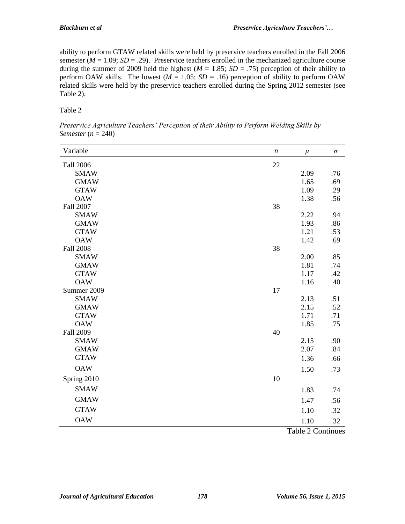ability to perform GTAW related skills were held by preservice teachers enrolled in the Fall 2006 semester  $(M = 1.09; SD = .29)$ . Preservice teachers enrolled in the mechanized agriculture course during the summer of 2009 held the highest ( $M = 1.85$ ;  $SD = .75$ ) perception of their ability to perform OAW skills. The lowest ( $M = 1.05$ ;  $SD = .16$ ) perception of ability to perform OAW related skills were held by the preservice teachers enrolled during the Spring 2012 semester (see Table 2).

Table 2

*Preservice Agriculture Teachers' Perception of their Ability to Perform Welding Skills by Semester* (*n* = 240)

| Variable         | $\boldsymbol{n}$ | $\mu$ | $\sigma$ |
|------------------|------------------|-------|----------|
| Fall 2006        | 22               |       |          |
| <b>SMAW</b>      |                  | 2.09  | .76      |
| <b>GMAW</b>      |                  | 1.65  | .69      |
| <b>GTAW</b>      |                  | 1.09  | .29      |
| <b>OAW</b>       |                  | 1.38  | .56      |
| Fall 2007        | 38               |       |          |
| <b>SMAW</b>      |                  | 2.22  | .94      |
| <b>GMAW</b>      |                  | 1.93  | .86      |
| <b>GTAW</b>      |                  | 1.21  | .53      |
| <b>OAW</b>       |                  | 1.42  | .69      |
| <b>Fall 2008</b> | 38               |       |          |
| <b>SMAW</b>      |                  | 2.00  | .85      |
| <b>GMAW</b>      |                  | 1.81  | .74      |
| <b>GTAW</b>      |                  | 1.17  | .42      |
| <b>OAW</b>       |                  | 1.16  | .40      |
| Summer 2009      | 17               |       |          |
| <b>SMAW</b>      |                  | 2.13  | .51      |
| <b>GMAW</b>      |                  | 2.15  | .52      |
| <b>GTAW</b>      |                  | 1.71  | .71      |
| <b>OAW</b>       |                  | 1.85  | .75      |
| Fall 2009        | 40               |       |          |
| <b>SMAW</b>      |                  | 2.15  | .90      |
| <b>GMAW</b>      |                  | 2.07  | .84      |
| <b>GTAW</b>      |                  | 1.36  | .66      |
| <b>OAW</b>       |                  | 1.50  | .73      |
| Spring 2010      | 10               |       |          |
| <b>SMAW</b>      |                  | 1.83  | .74      |
| <b>GMAW</b>      |                  | 1.47  | .56      |
| <b>GTAW</b>      |                  | 1.10  | .32      |
| <b>OAW</b>       |                  | 1.10  | .32      |

Table 2 Continues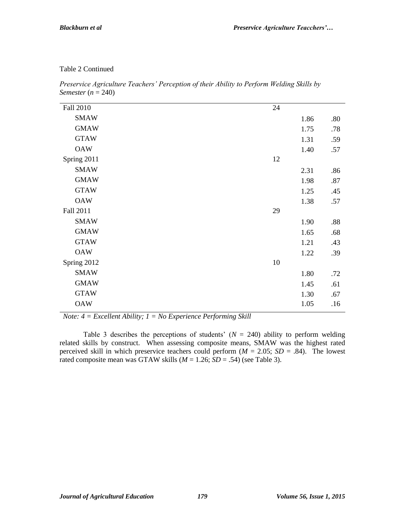# Table 2 Continued

| Fall 2010   | 24 |      |     |
|-------------|----|------|-----|
| <b>SMAW</b> |    | 1.86 | .80 |
| <b>GMAW</b> |    | 1.75 | .78 |
| <b>GTAW</b> |    | 1.31 | .59 |
| <b>OAW</b>  |    | 1.40 | .57 |
| Spring 2011 | 12 |      |     |
| <b>SMAW</b> |    | 2.31 | .86 |
| <b>GMAW</b> |    | 1.98 | .87 |
| <b>GTAW</b> |    | 1.25 | .45 |
| <b>OAW</b>  |    | 1.38 | .57 |
| Fall 2011   | 29 |      |     |
| <b>SMAW</b> |    | 1.90 | .88 |
| <b>GMAW</b> |    | 1.65 | .68 |
| <b>GTAW</b> |    | 1.21 | .43 |
| <b>OAW</b>  |    | 1.22 | .39 |
| Spring 2012 | 10 |      |     |
| <b>SMAW</b> |    | 1.80 | .72 |
| <b>GMAW</b> |    | 1.45 | .61 |
| <b>GTAW</b> |    | 1.30 | .67 |
| <b>OAW</b>  |    | 1.05 | .16 |
|             |    |      |     |

*Preservice Agriculture Teachers' Perception of their Ability to Perform Welding Skills by Semester* (*n* = 240)

*Note: 4 = Excellent Ability; 1 = No Experience Performing Skill*

Table 3 describes the perceptions of students'  $(N = 240)$  ability to perform welding related skills by construct. When assessing composite means, SMAW was the highest rated perceived skill in which preservice teachers could perform  $(M = 2.05; SD = .84)$ . The lowest rated composite mean was GTAW skills  $(M = 1.26; SD = .54)$  (see Table 3).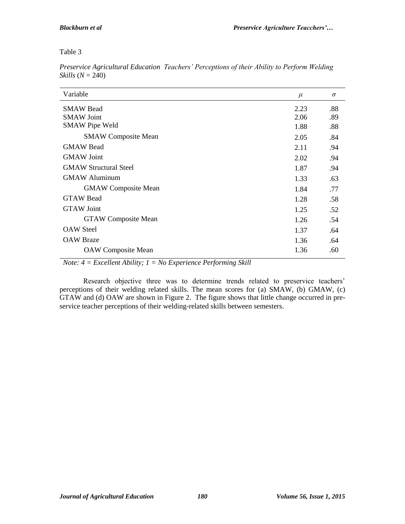Table 3

| Variable                     | $\mu$ | $\sigma$ |
|------------------------------|-------|----------|
| <b>SMAW Bead</b>             | 2.23  | .88      |
| <b>SMAW Joint</b>            | 2.06  | .89      |
| <b>SMAW Pipe Weld</b>        | 1.88  | .88      |
| <b>SMAW</b> Composite Mean   | 2.05  | .84      |
| <b>GMAW Bead</b>             | 2.11  | .94      |
| <b>GMAW</b> Joint            | 2.02  | .94      |
| <b>GMAW Structural Steel</b> | 1.87  | .94      |
| <b>GMAW Aluminum</b>         | 1.33  | .63      |
| <b>GMAW</b> Composite Mean   | 1.84  | .77      |
| <b>GTAW Bead</b>             | 1.28  | .58      |
| <b>GTAW</b> Joint            | 1.25  | .52      |
| <b>GTAW Composite Mean</b>   | 1.26  | .54      |
| <b>OAW</b> Steel             | 1.37  | .64      |
| <b>OAW</b> Braze             | 1.36  | .64      |
| <b>OAW</b> Composite Mean    | 1.36  | .60      |

*Preservice Agricultural Education Teachers' Perceptions of their Ability to Perform Welding Skills* (*N* = 240)

*Note: 4 = Excellent Ability; 1 = No Experience Performing Skill*

Research objective three was to determine trends related to preservice teachers' perceptions of their welding related skills. The mean scores for (a) SMAW, (b) GMAW, (c) GTAW and (d) OAW are shown in Figure 2. The figure shows that little change occurred in preservice teacher perceptions of their welding-related skills between semesters.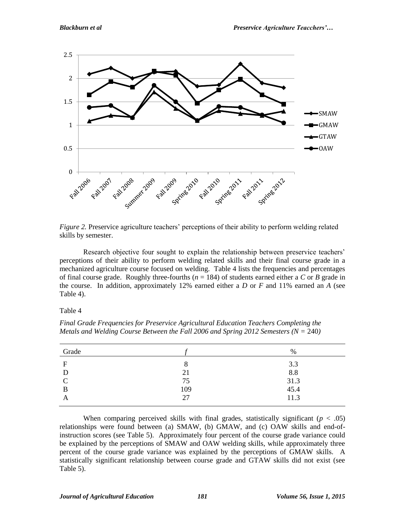

*Figure 2.* Preservice agriculture teachers' perceptions of their ability to perform welding related skills by semester.

Research objective four sought to explain the relationship between preservice teachers' perceptions of their ability to perform welding related skills and their final course grade in a mechanized agriculture course focused on welding. Table 4 lists the frequencies and percentages of final course grade. Roughly three-fourths  $(n = 184)$  of students earned either a C or *B* grade in the course. In addition, approximately 12% earned either a *D* or *F* and 11% earned an *A* (see Table 4).

Table 4

| Grade    |     | %                |
|----------|-----|------------------|
| F        |     | 3.3              |
|          | 21  | 8.8              |
| $\Gamma$ | 75  |                  |
| B        | 109 | $31.3$<br>$45.4$ |
| A        | 27  | 11.3             |

*Final Grade Frequencies for Preservice Agricultural Education Teachers Completing the Metals and Welding Course Between the Fall 2006 and Spring 2012 Semesters (N =* 240*)*

When comparing perceived skills with final grades, statistically significant  $(p < .05)$ relationships were found between (a) SMAW, (b) GMAW, and (c) OAW skills and end-ofinstruction scores (see Table 5). Approximately four percent of the course grade variance could be explained by the perceptions of SMAW and OAW welding skills, while approximately three percent of the course grade variance was explained by the perceptions of GMAW skills. A statistically significant relationship between course grade and GTAW skills did not exist (see Table 5).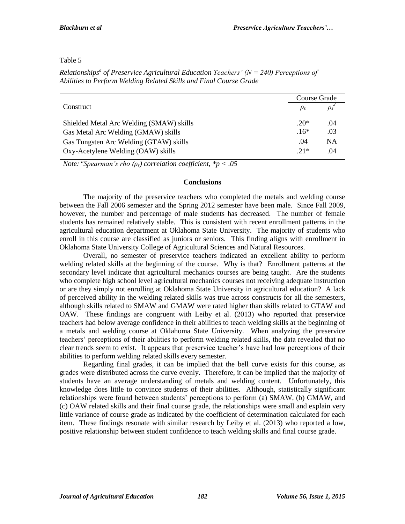# Table 5

*Relationships<sup>a</sup> of Preservice Agricultural Education Teachers' (N = 240) Perceptions of Abilities to Perform Welding Related Skills and Final Course Grade*

|                                          | Course Grade |           |
|------------------------------------------|--------------|-----------|
| Construct                                | $\rho_s$     |           |
| Shielded Metal Arc Welding (SMAW) skills | $.20*$       | .04       |
| Gas Metal Arc Welding (GMAW) skills      | $.16*$       | .03       |
| Gas Tungsten Arc Welding (GTAW) skills   | .04          | <b>NA</b> |
| Oxy-Acetylene Welding (OAW) skills       | $.21*$       | .04       |

*Note: <sup>a</sup> Spearman's rho (ρs) correlation coefficient, \*p < .05*

#### **Conclusions**

The majority of the preservice teachers who completed the metals and welding course between the Fall 2006 semester and the Spring 2012 semester have been male. Since Fall 2009, however, the number and percentage of male students has decreased. The number of female students has remained relatively stable. This is consistent with recent enrollment patterns in the agricultural education department at Oklahoma State University. The majority of students who enroll in this course are classified as juniors or seniors. This finding aligns with enrollment in Oklahoma State University College of Agricultural Sciences and Natural Resources.

Overall, no semester of preservice teachers indicated an excellent ability to perform welding related skills at the beginning of the course. Why is that? Enrollment patterns at the secondary level indicate that agricultural mechanics courses are being taught. Are the students who complete high school level agricultural mechanics courses not receiving adequate instruction or are they simply not enrolling at Oklahoma State University in agricultural education? A lack of perceived ability in the welding related skills was true across constructs for all the semesters, although skills related to SMAW and GMAW were rated higher than skills related to GTAW and OAW. These findings are congruent with Leiby et al. (2013) who reported that preservice teachers had below average confidence in their abilities to teach welding skills at the beginning of a metals and welding course at Oklahoma State University. When analyzing the preservice teachers' perceptions of their abilities to perform welding related skills, the data revealed that no clear trends seem to exist. It appears that preservice teacher's have had low perceptions of their abilities to perform welding related skills every semester.

Regarding final grades, it can be implied that the bell curve exists for this course, as grades were distributed across the curve evenly. Therefore, it can be implied that the majority of students have an average understanding of metals and welding content. Unfortunately, this knowledge does little to convince students of their abilities. Although, statistically significant relationships were found between students' perceptions to perform (a) SMAW, (b) GMAW, and (c) OAW related skills and their final course grade, the relationships were small and explain very little variance of course grade as indicated by the coefficient of determination calculated for each item. These findings resonate with similar research by Leiby et al. (2013) who reported a low, positive relationship between student confidence to teach welding skills and final course grade.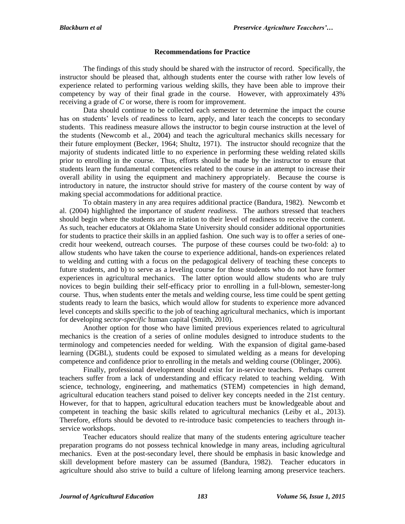# **Recommendations for Practice**

The findings of this study should be shared with the instructor of record. Specifically, the instructor should be pleased that, although students enter the course with rather low levels of experience related to performing various welding skills, they have been able to improve their competency by way of their final grade in the course. However, with approximately 43% receiving a grade of *C* or worse, there is room for improvement.

Data should continue to be collected each semester to determine the impact the course has on students' levels of readiness to learn, apply, and later teach the concepts to secondary students. This readiness measure allows the instructor to begin course instruction at the level of the students (Newcomb et al., 2004) and teach the agricultural mechanics skills necessary for their future employment (Becker, 1964; Shultz, 1971). The instructor should recognize that the majority of students indicated little to no experience in performing these welding related skills prior to enrolling in the course. Thus, efforts should be made by the instructor to ensure that students learn the fundamental competencies related to the course in an attempt to increase their overall ability in using the equipment and machinery appropriately. Because the course is introductory in nature, the instructor should strive for mastery of the course content by way of making special accommodations for additional practice.

To obtain mastery in any area requires additional practice (Bandura, 1982). Newcomb et al. (2004) highlighted the importance of *student readiness*. The authors stressed that teachers should begin where the students are in relation to their level of readiness to receive the content. As such, teacher educators at Oklahoma State University should consider additional opportunities for students to practice their skills in an applied fashion. One such way is to offer a series of onecredit hour weekend, outreach courses. The purpose of these courses could be two-fold: a) to allow students who have taken the course to experience additional, hands-on experiences related to welding and cutting with a focus on the pedagogical delivery of teaching these concepts to future students, and b) to serve as a leveling course for those students who do not have former experiences in agricultural mechanics. The latter option would allow students who are truly novices to begin building their self-efficacy prior to enrolling in a full-blown, semester-long course. Thus, when students enter the metals and welding course, less time could be spent getting students ready to learn the basics, which would allow for students to experience more advanced level concepts and skills specific to the job of teaching agricultural mechanics, which is important for developing *sector-specific* human capital (Smith, 2010).

Another option for those who have limited previous experiences related to agricultural mechanics is the creation of a series of online modules designed to introduce students to the terminology and competencies needed for welding. With the expansion of digital game-based learning (DGBL), students could be exposed to simulated welding as a means for developing competence and confidence prior to enrolling in the metals and welding course (Oblinger, 2006).

Finally, professional development should exist for in-service teachers. Perhaps current teachers suffer from a lack of understanding and efficacy related to teaching welding. With science, technology, engineering, and mathematics (STEM) competencies in high demand, agricultural education teachers stand poised to deliver key concepts needed in the 21st century. However, for that to happen, agricultural education teachers must be knowledgeable about and competent in teaching the basic skills related to agricultural mechanics (Leiby et al., 2013). Therefore, efforts should be devoted to re-introduce basic competencies to teachers through inservice workshops.

Teacher educators should realize that many of the students entering agriculture teacher preparation programs do not possess technical knowledge in many areas, including agricultural mechanics. Even at the post-secondary level, there should be emphasis in basic knowledge and skill development before mastery can be assumed (Bandura, 1982). Teacher educators in agriculture should also strive to build a culture of lifelong learning among preservice teachers.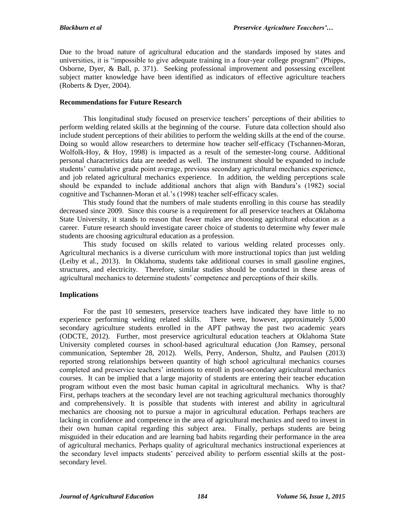Due to the broad nature of agricultural education and the standards imposed by states and universities, it is "impossible to give adequate training in a four-year college program" (Phipps, Osborne, Dyer, & Ball, p. 371). Seeking professional improvement and possessing excellent subject matter knowledge have been identified as indicators of effective agriculture teachers (Roberts & Dyer, 2004).

# **Recommendations for Future Research**

This longitudinal study focused on preservice teachers' perceptions of their abilities to perform welding related skills at the beginning of the course. Future data collection should also include student perceptions of their abilities to perform the welding skills at the end of the course. Doing so would allow researchers to determine how teacher self-efficacy (Tschannen-Moran, Wolfolk-Hoy, & Hoy, 1998) is impacted as a result of the semester-long course. Additional personal characteristics data are needed as well. The instrument should be expanded to include students' cumulative grade point average, previous secondary agricultural mechanics experience, and job related agricultural mechanics experience. In addition, the welding perceptions scale should be expanded to include additional anchors that align with Bandura's (1982) social cognitive and Tschannen-Moran et al.'s (1998) teacher self-efficacy scales.

This study found that the numbers of male students enrolling in this course has steadily decreased since 2009. Since this course is a requirement for all preservice teachers at Oklahoma State University, it stands to reason that fewer males are choosing agricultural education as a career. Future research should investigate career choice of students to determine why fewer male students are choosing agricultural education as a profession.

This study focused on skills related to various welding related processes only. Agricultural mechanics is a diverse curriculum with more instructional topics than just welding (Leiby et al., 2013). In Oklahoma, students take additional courses in small gasoline engines, structures, and electricity. Therefore, similar studies should be conducted in these areas of agricultural mechanics to determine students' competence and perceptions of their skills.

# **Implications**

For the past 10 semesters, preservice teachers have indicated they have little to no experience performing welding related skills. There were, however, approximately 5,000 secondary agriculture students enrolled in the APT pathway the past two academic years (ODCTE, 2012). Further, most preservice agricultural education teachers at Oklahoma State University completed courses in school-based agricultural education (Jon Ramsey, personal communication, September 28, 2012). Wells, Perry, Anderson, Shultz, and Paulsen (2013) reported strong relationships between quantity of high school agricultural mechanics courses completed and preservice teachers' intentions to enroll in post-secondary agricultural mechanics courses. It can be implied that a large majority of students are entering their teacher education program without even the most basic human capital in agricultural mechanics. Why is that? First, perhaps teachers at the secondary level are not teaching agricultural mechanics thoroughly and comprehensively. It is possible that students with interest and ability in agricultural mechanics are choosing not to pursue a major in agricultural education. Perhaps teachers are lacking in confidence and competence in the area of agricultural mechanics and need to invest in their own human capital regarding this subject area. Finally, perhaps students are being misguided in their education and are learning bad habits regarding their performance in the area of agricultural mechanics. Perhaps quality of agricultural mechanics instructional experiences at the secondary level impacts students' perceived ability to perform essential skills at the postsecondary level.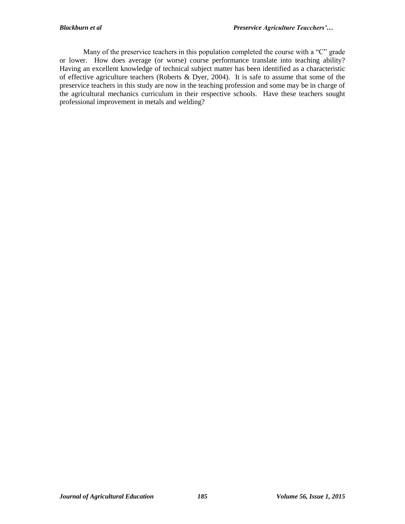Many of the preservice teachers in this population completed the course with a "C" grade or lower. How does average (or worse) course performance translate into teaching ability? Having an excellent knowledge of technical subject matter has been identified as a characteristic of effective agriculture teachers (Roberts & Dyer, 2004). It is safe to assume that some of the preservice teachers in this study are now in the teaching profession and some may be in charge of the agricultural mechanics curriculum in their respective schools. Have these teachers sought professional improvement in metals and welding?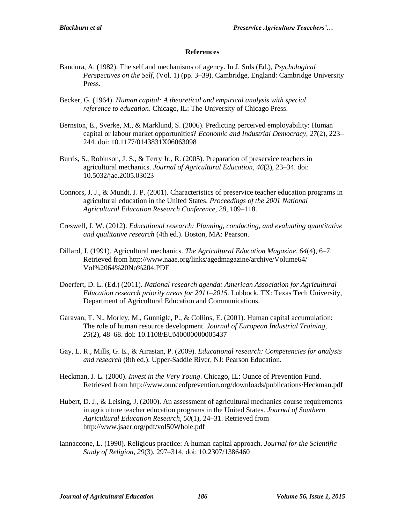#### **References**

- Bandura, A. (1982). The self and mechanisms of agency. In J. Suls (Ed.), *Psychological Perspectives on the Self*, (Vol. 1) (pp. 3–39). Cambridge, England: Cambridge University Press.
- Becker, G. (1964). *Human capital: A theoretical and empirical analysis with special reference to education*. Chicago, IL: The University of Chicago Press.
- Bernston, E., Sverke, M., & Marklund, S. (2006). Predicting perceived employability: Human capital or labour market opportunities? *Economic and Industrial Democracy, 27*(2), 223– 244. doi: 10.1177/0143831X06063098
- Burris, S., Robinson, J. S., & Terry Jr., R. (2005). Preparation of preservice teachers in agricultural mechanics. *Journal of Agricultural Education, 46*(3), 23–34. doi: 10.5032/jae.2005.03023
- Connors, J. J., & Mundt, J. P. (2001). Characteristics of preservice teacher education programs in agricultural education in the United States. *Proceedings of the 2001 National Agricultural Education Research Conference, 28,* 109–118.
- Creswell, J. W. (2012). *Educational research: Planning, conducting, and evaluating quantitative and qualitative research* (4th ed.). Boston, MA: Pearson.
- Dillard, J. (1991). Agricultural mechanics. *The Agricultural Education Magazine, 64*(4), 6–7. Retrieved from http://www.naae.org/links/agedmagazine/archive/Volume64/ Vol%2064%20No%204.PDF
- Doerfert, D. L. (Ed.) (2011). *National research agenda: American Association for Agricultural Education research priority areas for 2011–2015.* Lubbock, TX: Texas Tech University, Department of Agricultural Education and Communications.
- Garavan, T. N., Morley, M., Gunnigle, P., & Collins, E. (2001). Human capital accumulation: The role of human resource development. *Journal of European Industrial Training, 25*(2), 48–68. doi: 10.1108/EUM0000000005437
- Gay, L. R., Mills, G. E., & Airasian, P. (2009). *Educational research: Competencies for analysis and research* (8th ed.). Upper-Saddle River, NJ: Pearson Education.
- Heckman, J. L. (2000). *Invest in the Very Young*. Chicago, IL: Ounce of Prevention Fund. Retrieved from http://www.ounceofprevention.org/downloads/publications/Heckman.pdf
- Hubert, D. J., & Leising, J. (2000). An assessment of agricultural mechanics course requirements in agriculture teacher education programs in the United States. *Journal of Southern Agricultural Education Research, 50*(1), 24–31. Retrieved from http://www.jsaer.org/pdf/vol50Whole.pdf
- Iannaccone, L. (1990). Religious practice: A human capital approach. *Journal for the Scientific Study of Religion, 29*(3), 297–314. doi: 10.2307/1386460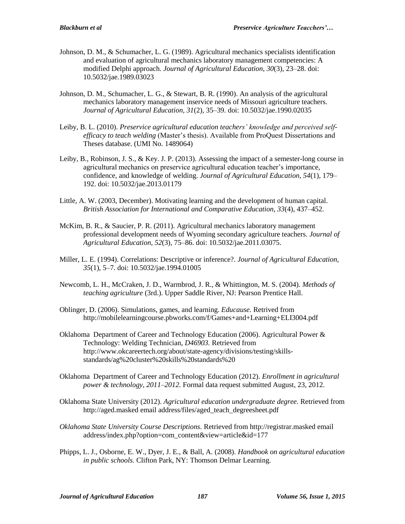- Johnson, D. M., & Schumacher, L. G. (1989). Agricultural mechanics specialists identification and evaluation of agricultural mechanics laboratory management competencies: A modified Delphi approach. *Journal of Agricultural Education, 30*(3), 23–28. doi: 10.5032/jae.1989.03023
- Johnson, D. M., Schumacher, L. G., & Stewart, B. R. (1990). An analysis of the agricultural mechanics laboratory management inservice needs of Missouri agriculture teachers. *Journal of Agricultural Education, 31*(2), 35–39. doi: 10.5032/jae.1990.02035
- Leiby, B. L. (2010). *Preservice agricultural education teachers' knowledge and perceived selfefficacy to teach welding* (Master's thesis). Available from ProQuest Dissertations and Theses database. (UMI No. 1489064)
- Leiby, B., Robinson, J. S., & Key. J. P. (2013). Assessing the impact of a semester-long course in agricultural mechanics on preservice agricultural education teacher's importance, confidence, and knowledge of welding. *Journal of Agricultural Education, 54*(1), 179– 192. doi: 10.5032/jae.2013.01179
- Little, A. W. (2003, December). Motivating learning and the development of human capital. *British Association for International and Comparative Education, 33*(4), 437–452.
- McKim, B. R., & Saucier, P. R. (2011). Agricultural mechanics laboratory management professional development needs of Wyoming secondary agriculture teachers. *Journal of Agricultural Education, 52*(3), 75–86. doi: 10.5032/jae.2011.03075.
- Miller, L. E. (1994). Correlations: Descriptive or inference?. *Journal of Agricultural Education, 35*(1), 5–7. doi: 10.5032/jae.1994.01005
- Newcomb, L. H., McCraken, J. D., Warmbrod, J. R., & Whittington, M. S. (2004). *Methods of teaching agriculture* (3rd.). Upper Saddle River, NJ: Pearson Prentice Hall.
- Oblinger, D. (2006). Simulations, games, and learning. *Educause.* Retrived from http://mobilelearningcourse.pbworks.com/f/Games+and+Learning+ELI3004.pdf
- Oklahoma Department of Career and Technology Education (2006). Agricultural Power & Technology: Welding Technician, *D46903.* Retrieved from http://www.okcareertech.org/about/state-agency/divisions/testing/skillsstandards/ag%20cluster%20skills%20standards%20
- Oklahoma Department of Career and Technology Education (2012). *Enrollment in agricultural power & technology, 2011–2012.* Formal data request submitted August, 23, 2012.
- Oklahoma State University (2012). *Agricultural education undergraduate degree.* Retrieved from http://aged.masked email address/files/aged\_teach\_degreesheet.pdf
- *Oklahoma State University Course Descriptions.* Retrieved from http://registrar.masked email address/index.php?option=com\_content&view=article&id=177
- Phipps, L. J., Osborne, E. W., Dyer, J. E., & Ball, A. (2008). *Handbook on agricultural education in public schools.* Clifton Park, NY: Thomson Delmar Learning.